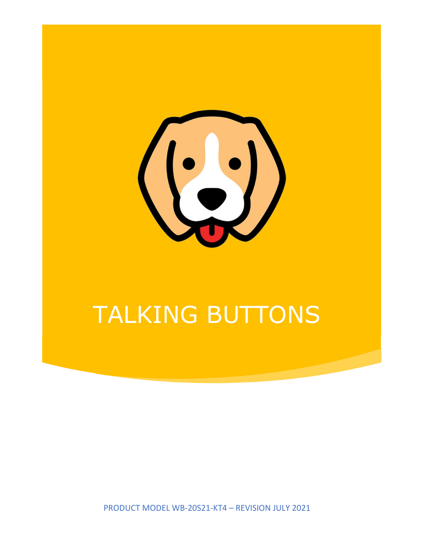

# TALKING BUTTONS

PRODUCT MODEL WB-20S21-KT4 – REVISION JULY 2021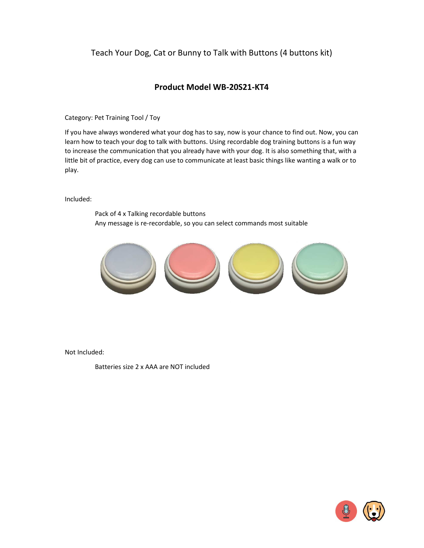# Teach Your Dog, Cat or Bunny to Talk with Buttons (4 buttons kit)

## **Product Model WB-20S21-KT4**

Category: Pet Training Tool / Toy

If you have always wondered what your dog has to say, now is your chance to find out. Now, you can learn how to teach your dog to talk with buttons. Using recordable dog training buttons is a fun way to increase the communication that you already have with your dog. It is also something that, with a little bit of practice, every dog can use to communicate at least basic things like wanting a walk or to play.

Included:

Pack of 4 x Talking recordable buttons Any message is re-recordable, so you can select commands most suitable



Not Included:

Batteries size 2 x AAA are NOT included

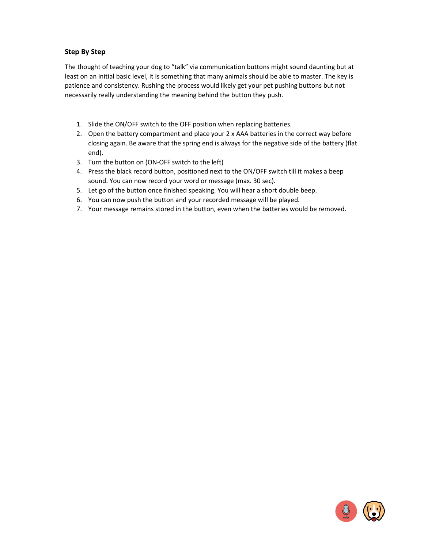## **Step By Step**

The thought of teaching your dog to "talk" via communication buttons might sound daunting but at least on an initial basic level, it is something that many animals should be able to master. The key is patience and consistency. Rushing the process would likely get your pet pushing buttons but not necessarily really understanding the meaning behind the button they push.

- 1. Slide the ON/OFF switch to the OFF position when replacing batteries.
- 2. Open the battery compartment and place your 2 x AAA batteries in the correct way before closing again. Be aware that the spring end is always for the negative side of the battery (flat end).
- 3. Turn the button on (ON-OFF switch to the left)
- 4. Press the black record button, positioned next to the ON/OFF switch till it makes a beep sound. You can now record your word or message (max. 30 sec).
- 5. Let go of the button once finished speaking. You will hear a short double beep.
- 6. You can now push the button and your recorded message will be played.
- 7. Your message remains stored in the button, even when the batteries would be removed.

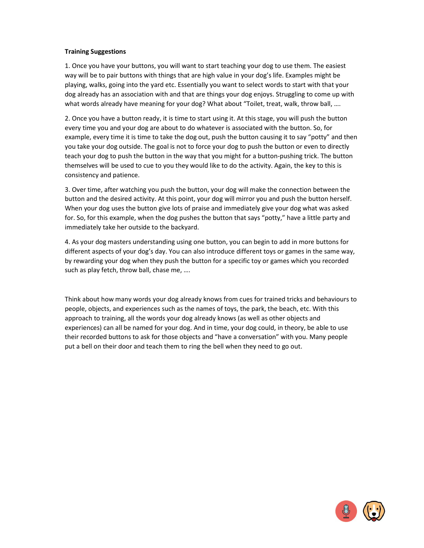## **Training Suggestions**

1. Once you have your buttons, you will want to start teaching your dog to use them. The easiest way will be to pair buttons with things that are high value in your dog's life. Examples might be playing, walks, going into the yard etc. Essentially you want to select words to start with that your dog already has an association with and that are things your dog enjoys. Struggling to come up with what words already have meaning for your dog? What about "Toilet, treat, walk, throw ball, ….

2. Once you have a button ready, it is time to start using it. At this stage, you will push the button every time you and your dog are about to do whatever is associated with the button. So, for example, every time it is time to take the dog out, push the button causing it to say "potty" and then you take your dog outside. The goal is not to force your dog to push the button or even to directly teach your dog to push the button in the way that you might for a button-pushing trick. The button themselves will be used to cue to you they would like to do the activity. Again, the key to this is consistency and patience.

3. Over time, after watching you push the button, your dog will make the connection between the button and the desired activity. At this point, your dog will mirror you and push the button herself. When your dog uses the button give lots of praise and immediately give your dog what was asked for. So, for this example, when the dog pushes the button that says "potty," have a little party and immediately take her outside to the backyard.

4. As your dog masters understanding using one button, you can begin to add in more buttons for different aspects of your dog's day. You can also introduce different toys or games in the same way, by rewarding your dog when they push the button for a specific toy or games which you recorded such as play fetch, throw ball, chase me, ….

Think about how many words your dog already knows from cues for trained tricks and behaviours to people, objects, and experiences such as the names of toys, the park, the beach, etc. With this approach to training, all the words your dog already knows (as well as other objects and experiences) can all be named for your dog. And in time, your dog could, in theory, be able to use their recorded buttons to ask for those objects and "have a conversation" with you. Many people put a bell on their door and teach them to ring the bell when they need to go out.

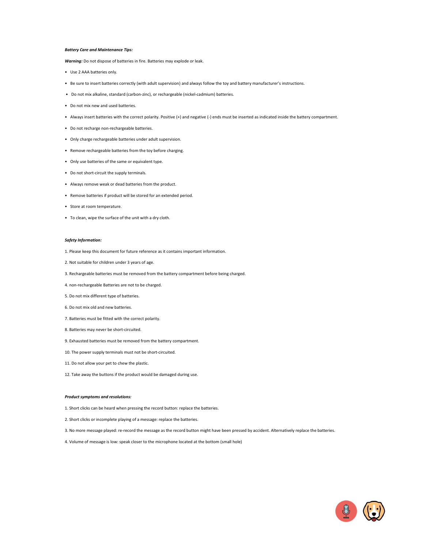### *Battery Care and Maintenance Tips:*

*Warning:* Do not dispose of batteries in fire. Batteries may explode or leak.

- Use 2 AAA batteries only.
- Be sure to insert batteries correctly (with adult supervision) and always follow the toy and battery manufacturer's instructions.
- Do not mix alkaline, standard (carbon-zinc), or rechargeable (nickel-cadmium) batteries.
- Do not mix new and used batteries.
- Always insert batteries with the correct polarity. Positive (+) and negative (-) ends must be inserted as indicated inside the battery compartment.
- Do not recharge non-rechargeable batteries.
- Only charge rechargeable batteries under adult supervision.
- Remove rechargeable batteries from the toy before charging.
- Only use batteries of the same or equivalent type.
- Do not short-circuit the supply terminals.
- Always remove weak or dead batteries from the product.
- Remove batteries if product will be stored for an extended period.
- Store at room temperature.
- To clean, wipe the surface of the unit with a dry cloth.

#### *Safety Information:*

1. Please keep this document for future reference as it contains important information.

- 2. Not suitable for children under 3 years of age.
- 3. Rechargeable batteries must be removed from the battery compartment before being charged.
- 4. non-rechargeable Batteries are not to be charged.
- 5. Do not mix different type of batteries.
- 6. Do not mix old and new batteries.
- 7. Batteries must be fitted with the correct polarity.
- 8. Batteries may never be short-circuited.
- 9. Exhausted batteries must be removed from the battery compartment.
- 10. The power supply terminals must not be short-circuited.
- 11. Do not allow your pet to chew the plastic.
- 12. Take away the buttons if the product would be damaged during use.

### *Product symptoms and resolutions:*

- 1. Short clicks can be heard when pressing the record button: replace the batteries.
- 2. Short clicks or incomplete playing of a message: replace the batteries.
- 3. No more message played: re-record the message as the record button might have been pressed by accident. Alternatively replace the batteries.
- 4. Volume of message is low: speak closer to the microphone located at the bottom (small hole)